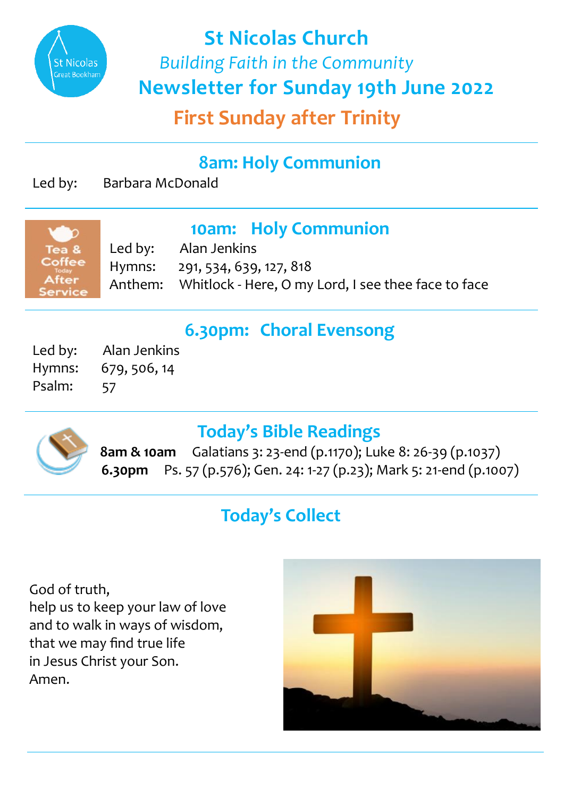

**St Nicolas Church**  *Building Faith in the Community*  **Newsletter for Sunday 19th June 2022**

**First Sunday after Trinity**

## **8am: Holy Communion**

Led by: Barbara McDonald

# **10am: Holy Communion**<br>Led by: Alan Jenkins

Alan Jenkins Hymns: 291, 534, 639, 127, 818 Anthem: Whitlock - Here, O my Lord, I see thee face to face

### **6.30pm: Choral Evensong**

Led by: Alan Jenkins Hymns: 679, 506, 14 Psalm: 57



### **Today's Bible Readings**

**8am & 10am** Galatians 3: 23-end (p.1170); Luke 8: 26-39 (p.1037)  **6.30pm** Ps. 57 (p.576); Gen. 24: 1-27 (p.23); Mark 5: 21-end (p.1007)

# **Today's Collect**

God of truth, help us to keep your law of love and to walk in ways of wisdom, that we may find true life in Jesus Christ your Son. Amen.

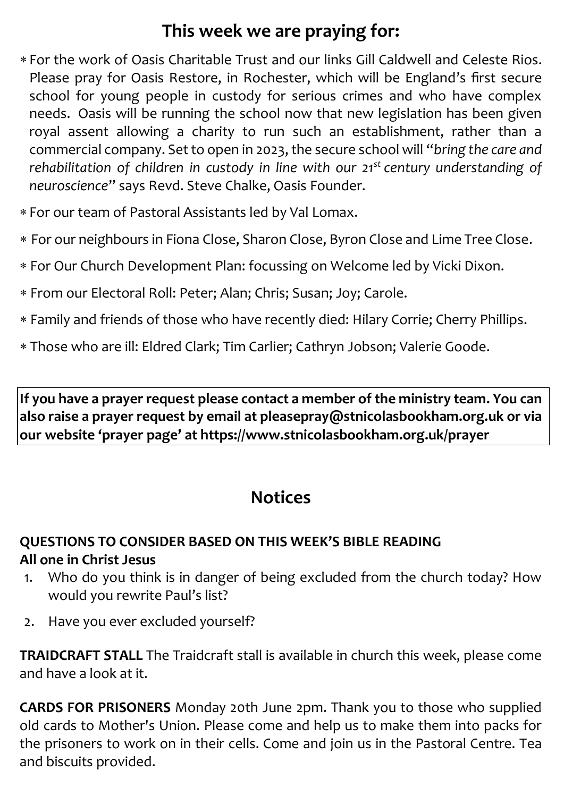## **This week we are praying for:**

- For the work of Oasis Charitable Trust and our links Gill Caldwell and Celeste Rios. Please pray for Oasis Restore, in Rochester, which will be England's first secure school for young people in custody for serious crimes and who have complex needs. Oasis will be running the school now that new legislation has been given royal assent allowing a charity to run such an establishment, rather than a commercial company. Set to open in 2023, the secure school will "*bring the care and rehabilitation of children in custody in line with our 21st century understanding of neuroscience*" says Revd. Steve Chalke, Oasis Founder.
- For our team of Pastoral Assistants led by Val Lomax.
- For our neighbours in Fiona Close, Sharon Close, Byron Close and Lime Tree Close.
- For Our Church Development Plan: focussing on Welcome led by Vicki Dixon.
- From our Electoral Roll: Peter; Alan; Chris; Susan; Joy; Carole.
- Family and friends of those who have recently died: Hilary Corrie; Cherry Phillips.
- Those who are ill: Eldred Clark; Tim Carlier; Cathryn Jobson; Valerie Goode.

**If you have a prayer request please contact a member of the ministry team. You can also raise a prayer request by email at pleasepray@stnicolasbookham.org.uk or via our website 'prayer page' at https://www.stnicolasbookham.org.uk/prayer**

### **Notices**

#### **QUESTIONS TO CONSIDER BASED ON THIS WEEK'S BIBLE READING All one in Christ Jesus**

- 1. Who do you think is in danger of being excluded from the church today? How would you rewrite Paul's list?
- 2. Have you ever excluded yourself?

**TRAIDCRAFT STALL** The Traidcraft stall is available in church this week, please come and have a look at it.

**CARDS FOR PRISONERS** Monday 20th June 2pm. Thank you to those who supplied old cards to Mother's Union. Please come and help us to make them into packs for the prisoners to work on in their cells. Come and join us in the Pastoral Centre. Tea and biscuits provided.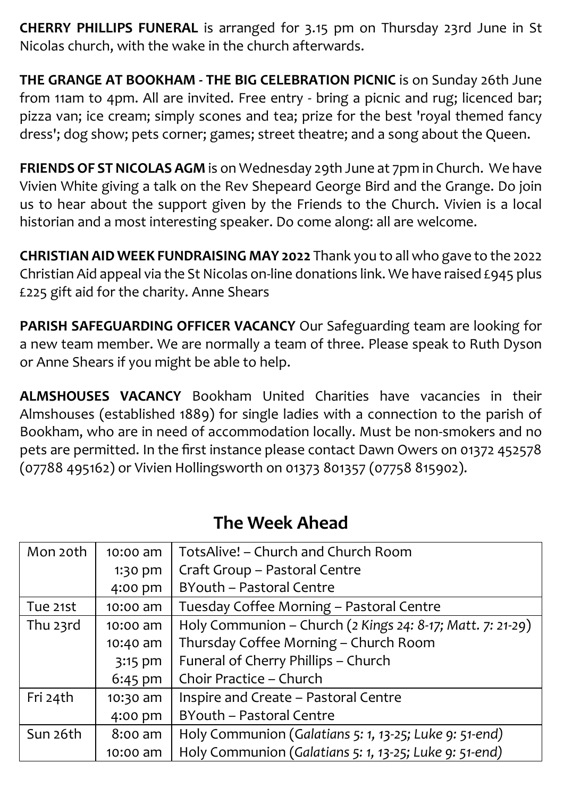**CHERRY PHILLIPS FUNERAL** is arranged for 3.15 pm on Thursday 23rd June in St Nicolas church, with the wake in the church afterwards.

**THE GRANGE AT BOOKHAM - THE BIG CELEBRATION PICNIC** is on Sunday 26th June from 11am to 4pm. All are invited. Free entry - bring a picnic and rug; licenced bar; pizza van; ice cream; simply scones and tea; prize for the best 'royal themed fancy dress'; dog show; pets corner; games; street theatre; and a song about the Queen.

**FRIENDS OF ST NICOLAS AGM** is on Wednesday 29th June at 7pm in Church. We have Vivien White giving a talk on the Rev Shepeard George Bird and the Grange. Do join us to hear about the support given by the Friends to the Church. Vivien is a local historian and a most interesting speaker. Do come along: all are welcome.

**CHRISTIAN AID WEEK FUNDRAISING MAY 2022** Thank you to all who gave to the 2022 Christian Aid appeal via the St Nicolas on-line donations link. We have raised £945 plus £225 gift aid for the charity. Anne Shears

**PARISH SAFEGUARDING OFFICER VACANCY** Our Safeguarding team are looking for a new team member. We are normally a team of three. Please speak to Ruth Dyson or Anne Shears if you might be able to help.

**ALMSHOUSES VACANCY** Bookham United Charities have vacancies in their Almshouses (established 1889) for single ladies with a connection to the parish of Bookham, who are in need of accommodation locally. Must be non-smokers and no pets are permitted. In the first instance please contact Dawn Owers on 01372 452578 (07788 495162) or Vivien Hollingsworth on 01373 801357 (07758 815902).

| Mon 20th | 10:00 am  | TotsAlive! – Church and Church Room                        |
|----------|-----------|------------------------------------------------------------|
|          | 1:30 pm   | Craft Group - Pastoral Centre                              |
|          | 4:00 pm   | BYouth - Pastoral Centre                                   |
| Tue 21st | 10:00 am  | Tuesday Coffee Morning - Pastoral Centre                   |
| Thu 23rd | 10:00 am  | Holy Communion - Church (2 Kings 24: 8-17; Matt. 7: 21-29) |
|          | 10:40 am  | Thursday Coffee Morning - Church Room                      |
|          | 3:15 pm   | Funeral of Cherry Phillips - Church                        |
|          | $6:45$ pm | Choir Practice - Church                                    |
| Fri 24th | 10:30 am  | Inspire and Create - Pastoral Centre                       |
|          | 4:00 pm   | BYouth - Pastoral Centre                                   |
| Sun 26th | 8:00 am   | Holy Communion (Galatians 5: 1, 13-25; Luke 9: 51-end)     |
|          | 10:00 am  | Holy Communion (Galatians 5: 1, 13-25; Luke 9: 51-end)     |

### **The Week Ahead**